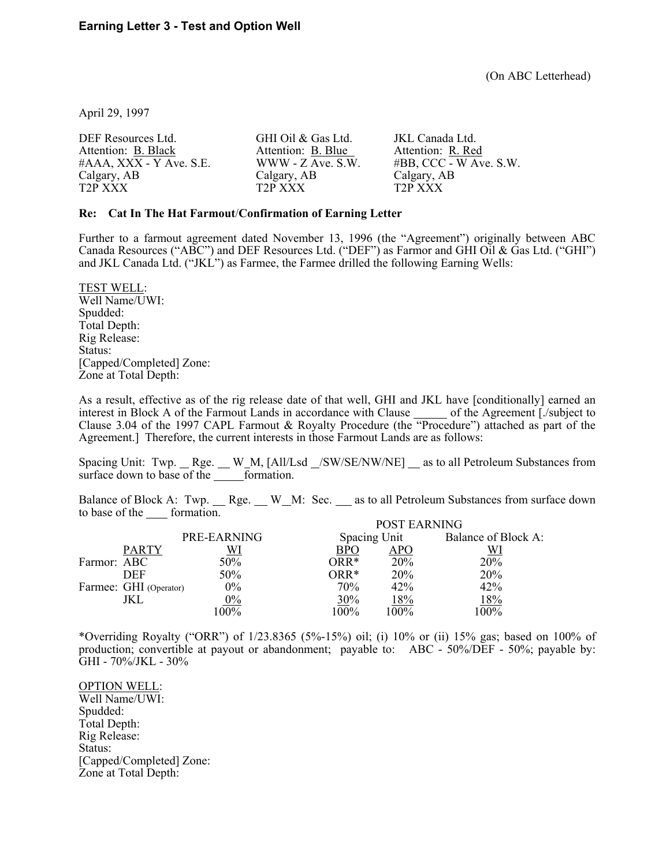April 29, 1997

| DEF Resources Ltd.      | GHI Oil & Gas Ltd.   | JKL Canada Ltd.           |
|-------------------------|----------------------|---------------------------|
| Attention: B. Black     | Attention: B. Blue   | Attention: R. Red         |
| #AAA, XXX - Y Ave. S.E. | $WWW - Z$ Ave. S.W.  | $#BB$ , CCC - W Ave. S.W. |
| Calgary, AB             | Calgary, AB          | Calgary, AB               |
| T <sub>2</sub> P XXX    | T <sub>2</sub> P XXX | T <sub>2</sub> P XXX      |

## **Re: Cat In The Hat Farmout**/**Confirmation of Earning Letter**

Further to a farmout agreement dated November 13, 1996 (the "Agreement") originally between ABC Canada Resources ("ABC") and DEF Resources Ltd. ("DEF") as Farmor and GHI Oil & Gas Ltd. ("GHI") and JKL Canada Ltd. ("JKL") as Farmee, the Farmee drilled the following Earning Wells:

TEST WELL: Well Name/UWI: Spudded: Total Depth: Rig Release: Status: [Capped/Completed] Zone: Zone at Total Depth:

As a result, effective as of the rig release date of that well, GHI and JKL have [conditionally] earned an interest in Block A of the Farmout Lands in accordance with Clause of the Agreement [./subject to Clause 3.04 of the 1997 CAPL Farmout & Royalty Procedure (the "Procedure") attached as part of the Agreement.] Therefore, the current interests in those Farmout Lands are as follows:

Spacing Unit: Twp. \_ Rge. \_ W\_M, [All/Lsd \_/SW/SE/NW/NE] \_ as to all Petroleum Substances from surface down to base of the  $\overline{\phantom{0}}$  formation.

Balance of Block A: Twp. \_\_ Rge. \_\_ W\_M: Sec. \_\_ as to all Petroleum Substances from surface down to base of the formation. POST EARNING

|             |                        |             | POST EARNING |              |                     |  |
|-------------|------------------------|-------------|--------------|--------------|---------------------|--|
|             |                        | PRE-EARNING |              | Spacing Unit | Balance of Block A: |  |
|             | <b>PARTY</b>           | WI          | BPO          | APO          |                     |  |
| Farmor: ABC |                        | 50%         | $ORR*$       | 20%          | 20%                 |  |
|             | DEF                    | 50%         | $ORR*$       | 20%          | 20%                 |  |
|             | Farmee: GHI (Operator) | $0\%$       | 70%          | 42%          | 42%                 |  |
|             | JKL                    | $0\%$       | 30%          | l 8%         | 18%                 |  |
|             |                        | 100%        | 100%         | 100%         | $100\%$             |  |

\*Overriding Royalty ("ORR") of 1/23.8365 (5%-15%) oil; (i) 10% or (ii) 15% gas; based on 100% of production; convertible at payout or abandonment; payable to: ABC - 50%/DEF - 50%; payable by: GHI - 70%/JKL - 30%

OPTION WELL: Well Name/UWI: Spudded: Total Depth: Rig Release: Status: [Capped/Completed] Zone: Zone at Total Depth: